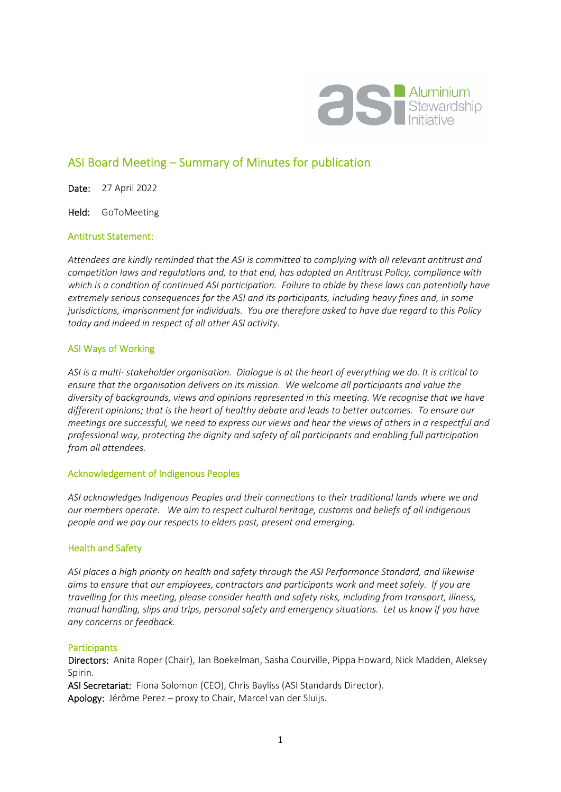

# ASI Board Meeting – Summary of Minutes for publication

Date: 27 April 2022

Held: GoToMeeting

#### Antitrust Statement:

*Attendees are kindly reminded that the ASI is committed to complying with all relevant antitrust and competition laws and regulations and, to that end, has adopted an Antitrust Policy, compliance with which is a condition of continued ASI participation. Failure to abide by these laws can potentially have extremely serious consequences for the ASI and its participants, including heavy fines and, in some jurisdictions, imprisonment for individuals. You are therefore asked to have due regard to this Policy today and indeed in respect of all other ASI activity.* 

# ASI Ways of Working

*ASI is a multi- stakeholder organisation. Dialogue is at the heart of everything we do. It is critical to ensure that the organisation delivers on its mission. We welcome all participants and value the diversity of backgrounds, views and opinions represented in this meeting. We recognise that we have different opinions; that is the heart of healthy debate and leads to better outcomes. To ensure our meetings are successful, we need to express our views and hear the views of others in a respectful and professional way, protecting the dignity and safety of all participants and enabling full participation from all attendees.* 

#### Acknowledgement of Indigenous Peoples

*ASI acknowledges Indigenous Peoples and their connections to their traditional lands where we and our members operate. We aim to respect cultural heritage, customs and beliefs of all Indigenous people and we pay our respects to elders past, present and emerging.* 

# Health and Safety

*ASI places a high priority on health and safety through the ASI Performance Standard, and likewise aims to ensure that our employees, contractors and participants work and meet safely. If you are travelling for this meeting, please consider health and safety risks, including from transport, illness, manual handling, slips and trips, personal safety and emergency situations. Let us know if you have any concerns or feedback.* 

#### **Participants**

Directors: Anita Roper (Chair), Jan Boekelman, Sasha Courville, Pippa Howard, Nick Madden, Aleksey Spirin.

ASI Secretariat: Fiona Solomon (CEO), Chris Bayliss (ASI Standards Director).

Apology: Jérôme Perez - proxy to Chair, Marcel van der Sluijs.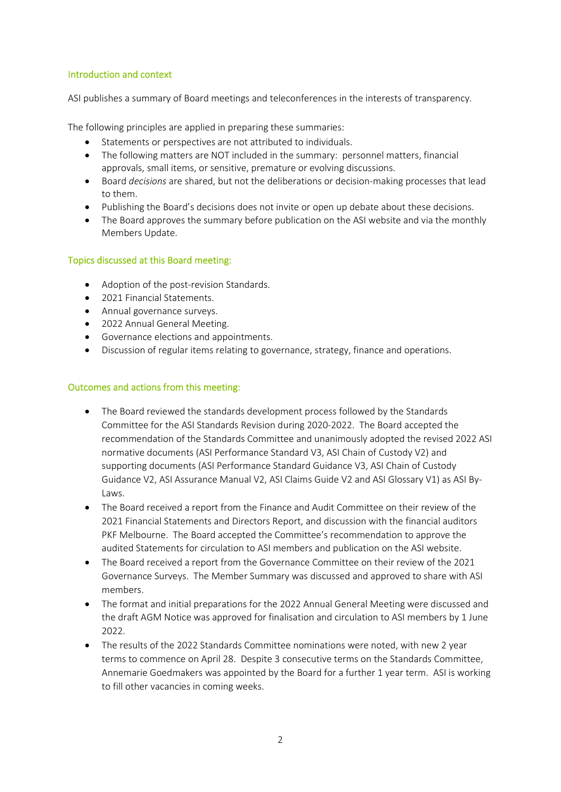#### Introduction and context

ASI publishes a summary of Board meetings and teleconferences in the interests of transparency.

The following principles are applied in preparing these summaries:

- Statements or perspectives are not attributed to individuals.
- The following matters are NOT included in the summary: personnel matters, financial approvals, small items, or sensitive, premature or evolving discussions.
- Board *decisions* are shared, but not the deliberations or decision-making processes that lead to them.
- Publishing the Board's decisions does not invite or open up debate about these decisions.
- The Board approves the summary before publication on the ASI website and via the monthly Members Update.

# Topics discussed at this Board meeting:

- Adoption of the post-revision Standards.
- 2021 Financial Statements.
- Annual governance surveys.
- 2022 Annual General Meeting.
- Governance elections and appointments.
- Discussion of regular items relating to governance, strategy, finance and operations.

# Outcomes and actions from this meeting:

- The Board reviewed the standards development process followed by the Standards Committee for the ASI Standards Revision during 2020-2022. The Board accepted the recommendation of the Standards Committee and unanimously adopted the revised 2022 ASI normative documents (ASI Performance Standard V3, ASI Chain of Custody V2) and supporting documents (ASI Performance Standard Guidance V3, ASI Chain of Custody Guidance V2, ASI Assurance Manual V2, ASI Claims Guide V2 and ASI Glossary V1) as ASI By-Laws.
- The Board received a report from the Finance and Audit Committee on their review of the 2021 Financial Statements and Directors Report, and discussion with the financial auditors PKF Melbourne. The Board accepted the Committee's recommendation to approve the audited Statements for circulation to ASI members and publication on the ASI website.
- The Board received a report from the Governance Committee on their review of the 2021 Governance Surveys. The Member Summary was discussed and approved to share with ASI members.
- The format and initial preparations for the 2022 Annual General Meeting were discussed and the draft AGM Notice was approved for finalisation and circulation to ASI members by 1 June  $2022$
- The results of the 2022 Standards Committee nominations were noted, with new 2 year terms to commence on April 28. Despite 3 consecutive terms on the Standards Committee, Annemarie Goedmakers was appointed by the Board for a further 1 year term. ASI is working to fill other vacancies in coming weeks.